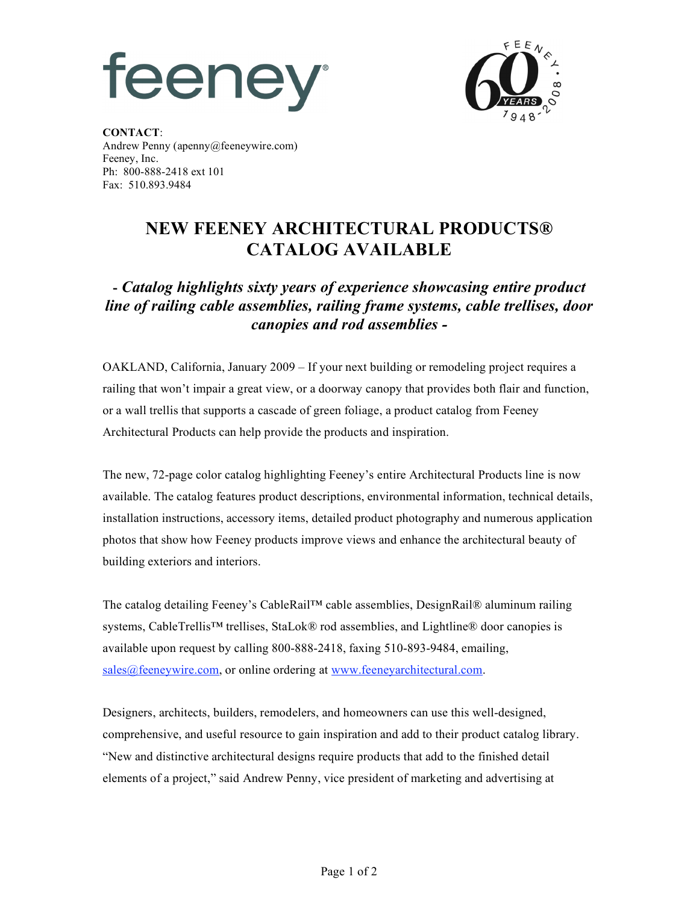



**CONTACT**: Andrew Penny (apenny@feeneywire.com) Feeney, Inc. Ph: 800-888-2418 ext 101 Fax: 510.893.9484

## **NEW FEENEY ARCHITECTURAL PRODUCTS® CATALOG AVAILABLE**

## **-** *Catalog highlights sixty years of experience showcasing entire product line of railing cable assemblies, railing frame systems, cable trellises, door canopies and rod assemblies -*

OAKLAND, California, January 2009 – If your next building or remodeling project requires a railing that won't impair a great view, or a doorway canopy that provides both flair and function, or a wall trellis that supports a cascade of green foliage, a product catalog from Feeney Architectural Products can help provide the products and inspiration.

The new, 72-page color catalog highlighting Feeney's entire Architectural Products line is now available. The catalog features product descriptions, environmental information, technical details, installation instructions, accessory items, detailed product photography and numerous application photos that show how Feeney products improve views and enhance the architectural beauty of building exteriors and interiors.

The catalog detailing Feeney's CableRail™ cable assemblies, DesignRail® aluminum railing systems, CableTrellis™ trellises, StaLok® rod assemblies, and Lightline® door canopies is available upon request by calling 800-888-2418, faxing 510-893-9484, emailing, sales@feeneywire.com, or online ordering at www.feeneyarchitectural.com.

Designers, architects, builders, remodelers, and homeowners can use this well-designed, comprehensive, and useful resource to gain inspiration and add to their product catalog library. "New and distinctive architectural designs require products that add to the finished detail elements of a project," said Andrew Penny, vice president of marketing and advertising at